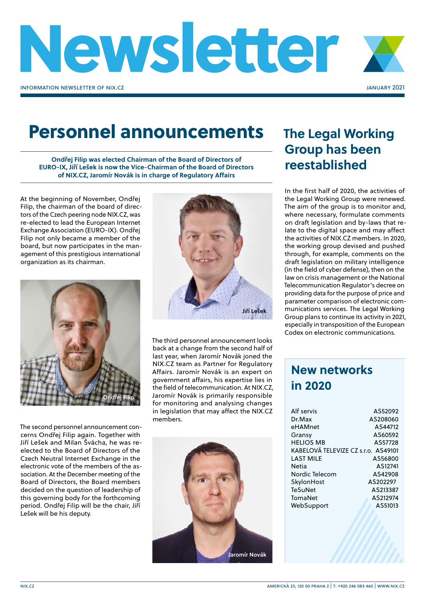

## Personnel announcements

**Ondřej Filip was elected Chairman of the Board of Directors of EURO-IX, Jiří Lešek is now the Vice-Chairman of the Board of Directors of NIX.CZ, Jaromír Novák is in charge of Regulatory Affairs**

At the beginning of November, Ondřej Filip, the chairman of the board of directors of the Czech peering node NIX.CZ, was re-elected to lead the European Internet Exchange Association (EURO-IX). Ondřej Filip not only became a member of the board, but now participates in the management of this prestigious international organization as its chairman.



The second personnel announcement concerns Ondřej Filip again. Together with Jiří Lešek and Milan Švácha, he was reelected to the Board of Directors of the Czech Neutral Internet Exchange in the electronic vote of the members of the association. At the December meeting of the Board of Directors, the Board members decided on the question of leadership of this governing body for the forthcoming period. Ondřej Filip will be the chair, Jiří Lešek will be his deputy.



The third personnel announcement looks back at a change from the second half of last year, when Jaromír Novák joned the NIX.CZ team as Partner for Regulatory Affairs. Jaromír Novák is an expert on government affairs, his expertise lies in the field of telecommunication. At NIX.CZ, Jaromír Novák is primarily responsible for monitoring and analysing changes in legislation that may affect the NIX.CZ members.



## **The Legal Working Group has been reestablished**

In the first half of 2020, the activities of the Legal Working Group were renewed. The aim of the group is to monitor and, where necessary, formulate comments on draft legislation and by-laws that relate to the digital space and may affect the activities of NIX.CZ members. In 2020, the working group devised and pushed through, for example, comments on the draft legislation on military intelligence (in the field of cyber defense), then on the law on crisis management or the National Telecommunication Regulator's decree on providing data for the purpose of price and parameter comparison of electronic communications services. The Legal Working Group plans to continue its activity in 2021, especially in transposition of the European Codex on electronic communications.

## **New networks in 2020**

| Alf servis                          | AS52092  |
|-------------------------------------|----------|
| Dr.Max                              | AS208060 |
| eHAMnet                             | AS44712  |
| Gransy                              | AS60592  |
| <b>HELIOS MB</b>                    | AS57728  |
| KABELOVÁ TELEVIZE CZ s.r.o. AS49101 |          |
| LAST MILE                           | AS56800  |
| <b>Netia</b>                        | AS12741  |
| Nordic Telecom                      | AS42908  |
| SkylonHost                          | AS202297 |
| TeSuNet                             | AS213387 |
| TomaNet                             | AS212974 |
| WebSupport                          | AS51013  |
|                                     |          |